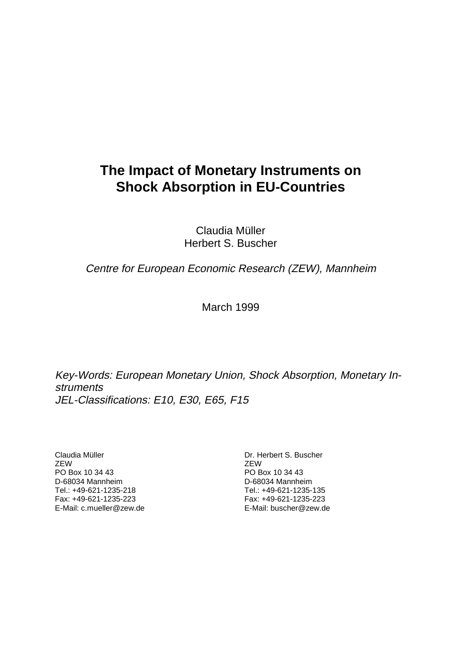# **The Impact of Monetary Instruments on Shock Absorption in EU-Countries**

Claudia Müller Herbert S. Buscher

Centre for European Economic Research (ZEW), Mannheim

March 1999

Key-Words: European Monetary Union, Shock Absorption, Monetary Instruments JEL-Classifications: E10, E30, E65, F15

Claudia Müller **ZEW** PO Box 10 34 43 D-68034 Mannheim Tel.: +49-621-1235-218 Fax: +49-621-1235-223 E-Mail: c.mueller@zew.de Dr. Herbert S. Buscher **ZEW** PO Box 10 34 43 D-68034 Mannheim Tel.: +49-621-1235-135 Fax: +49-621-1235-223 E-Mail: buscher@zew.de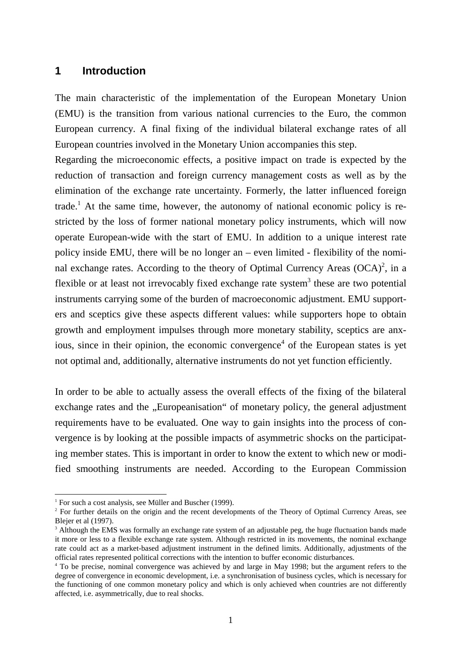## **1 Introduction**

The main characteristic of the implementation of the European Monetary Union (EMU) is the transition from various national currencies to the Euro, the common European currency. A final fixing of the individual bilateral exchange rates of all European countries involved in the Monetary Union accompanies this step.

Regarding the microeconomic effects, a positive impact on trade is expected by the reduction of transaction and foreign currency management costs as well as by the elimination of the exchange rate uncertainty. Formerly, the latter influenced foreign trade.<sup>1</sup> At the same time, however, the autonomy of national economic policy is restricted by the loss of former national monetary policy instruments, which will now operate European-wide with the start of EMU. In addition to a unique interest rate policy inside EMU, there will be no longer an – even limited - flexibility of the nominal exchange rates. According to the theory of Optimal Currency Areas  $(OCA)^2$ , in a flexible or at least not irrevocably fixed exchange rate system<sup>3</sup> these are two potential instruments carrying some of the burden of macroeconomic adjustment. EMU supporters and sceptics give these aspects different values: while supporters hope to obtain growth and employment impulses through more monetary stability, sceptics are anxious, since in their opinion, the economic convergence<sup>4</sup> of the European states is yet not optimal and, additionally, alternative instruments do not yet function efficiently.

In order to be able to actually assess the overall effects of the fixing of the bilateral exchange rates and the "Europeanisation" of monetary policy, the general adjustment requirements have to be evaluated. One way to gain insights into the process of convergence is by looking at the possible impacts of asymmetric shocks on the participating member states. This is important in order to know the extent to which new or modified smoothing instruments are needed. According to the European Commission

j

<sup>&</sup>lt;sup>1</sup> For such a cost analysis, see Müller and Buscher (1999).

<sup>&</sup>lt;sup>2</sup> For further details on the origin and the recent developments of the Theory of Optimal Currency Areas, see Blejer et al (1997).

<sup>&</sup>lt;sup>3</sup> Although the EMS was formally an exchange rate system of an adjustable peg, the huge fluctuation bands made it more or less to a flexible exchange rate system. Although restricted in its movements, the nominal exchange rate could act as a market-based adjustment instrument in the defined limits. Additionally, adjustments of the official rates represented political corrections with the intention to buffer economic disturbances.

<sup>4</sup> To be precise, nominal convergence was achieved by and large in May 1998; but the argument refers to the degree of convergence in economic development, i.e. a synchronisation of business cycles, which is necessary for the functioning of one common monetary policy and which is only achieved when countries are not differently affected, i.e. asymmetrically, due to real shocks.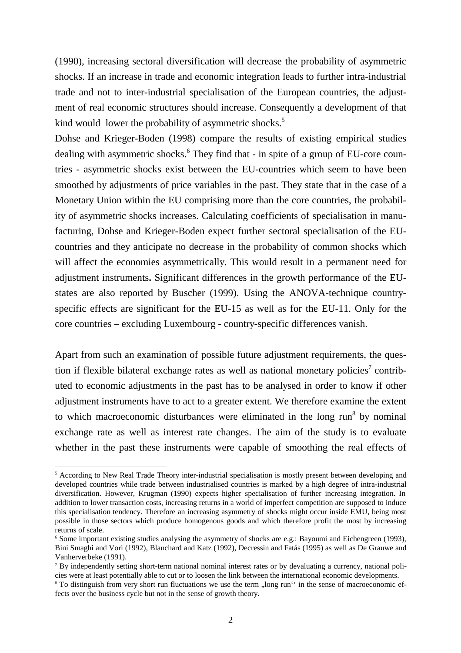(1990), increasing sectoral diversification will decrease the probability of asymmetric shocks. If an increase in trade and economic integration leads to further intra-industrial trade and not to inter-industrial specialisation of the European countries, the adjustment of real economic structures should increase. Consequently a development of that kind would lower the probability of asymmetric shocks.<sup>5</sup>

Dohse and Krieger-Boden (1998) compare the results of existing empirical studies dealing with asymmetric shocks.<sup>6</sup> They find that - in spite of a group of EU-core countries - asymmetric shocks exist between the EU-countries which seem to have been smoothed by adjustments of price variables in the past. They state that in the case of a Monetary Union within the EU comprising more than the core countries, the probability of asymmetric shocks increases. Calculating coefficients of specialisation in manufacturing, Dohse and Krieger-Boden expect further sectoral specialisation of the EUcountries and they anticipate no decrease in the probability of common shocks which will affect the economies asymmetrically. This would result in a permanent need for adjustment instruments**.** Significant differences in the growth performance of the EUstates are also reported by Buscher (1999). Using the ANOVA-technique countryspecific effects are significant for the EU-15 as well as for the EU-11. Only for the core countries – excluding Luxembourg - country-specific differences vanish.

Apart from such an examination of possible future adjustment requirements, the question if flexible bilateral exchange rates as well as national monetary policies<sup>7</sup> contributed to economic adjustments in the past has to be analysed in order to know if other adjustment instruments have to act to a greater extent. We therefore examine the extent to which macroeconomic disturbances were eliminated in the long run<sup>8</sup> by nominal exchange rate as well as interest rate changes. The aim of the study is to evaluate whether in the past these instruments were capable of smoothing the real effects of

-

<sup>&</sup>lt;sup>5</sup> According to New Real Trade Theory inter-industrial specialisation is mostly present between developing and developed countries while trade between industrialised countries is marked by a high degree of intra-industrial diversification. However, Krugman (1990) expects higher specialisation of further increasing integration. In addition to lower transaction costs, increasing returns in a world of imperfect competition are supposed to induce this specialisation tendency. Therefore an increasing asymmetry of shocks might occur inside EMU, being most possible in those sectors which produce homogenous goods and which therefore profit the most by increasing returns of scale.

<sup>6</sup> Some important existing studies analysing the asymmetry of shocks are e.g.: Bayoumi and Eichengreen (1993), Bini Smaghi and Vori (1992), Blanchard and Katz (1992), Decressin and Fatás (1995) as well as De Grauwe and Vanherverbeke (1991).

<sup>&</sup>lt;sup>7</sup> By independently setting short-term national nominal interest rates or by devaluating a currency, national policies were at least potentially able to cut or to loosen the link between the international economic developments.

<sup>&</sup>lt;sup>8</sup> To distinguish from very short run fluctuations we use the term "long run" in the sense of macroeconomic effects over the business cycle but not in the sense of growth theory.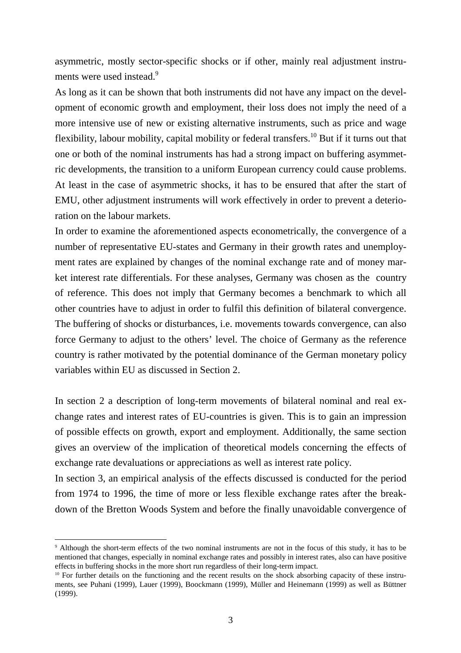asymmetric, mostly sector-specific shocks or if other, mainly real adjustment instruments were used instead.<sup>9</sup>

As long as it can be shown that both instruments did not have any impact on the development of economic growth and employment, their loss does not imply the need of a more intensive use of new or existing alternative instruments, such as price and wage flexibility, labour mobility, capital mobility or federal transfers.<sup>10</sup> But if it turns out that one or both of the nominal instruments has had a strong impact on buffering asymmetric developments, the transition to a uniform European currency could cause problems. At least in the case of asymmetric shocks, it has to be ensured that after the start of EMU, other adjustment instruments will work effectively in order to prevent a deterioration on the labour markets.

In order to examine the aforementioned aspects econometrically, the convergence of a number of representative EU-states and Germany in their growth rates and unemployment rates are explained by changes of the nominal exchange rate and of money market interest rate differentials. For these analyses, Germany was chosen as the country of reference. This does not imply that Germany becomes a benchmark to which all other countries have to adjust in order to fulfil this definition of bilateral convergence. The buffering of shocks or disturbances, i.e. movements towards convergence, can also force Germany to adjust to the others' level. The choice of Germany as the reference country is rather motivated by the potential dominance of the German monetary policy variables within EU as discussed in Section 2.

In section 2 a description of long-term movements of bilateral nominal and real exchange rates and interest rates of EU-countries is given. This is to gain an impression of possible effects on growth, export and employment. Additionally, the same section gives an overview of the implication of theoretical models concerning the effects of exchange rate devaluations or appreciations as well as interest rate policy.

In section 3, an empirical analysis of the effects discussed is conducted for the period from 1974 to 1996, the time of more or less flexible exchange rates after the breakdown of the Bretton Woods System and before the finally unavoidable convergence of

-

<sup>9</sup> Although the short-term effects of the two nominal instruments are not in the focus of this study, it has to be mentioned that changes, especially in nominal exchange rates and possibly in interest rates, also can have positive effects in buffering shocks in the more short run regardless of their long-term impact.

<sup>&</sup>lt;sup>10</sup> For further details on the functioning and the recent results on the shock absorbing capacity of these instruments, see Puhani (1999), Lauer (1999), Boockmann (1999), Müller and Heinemann (1999) as well as Büttner (1999).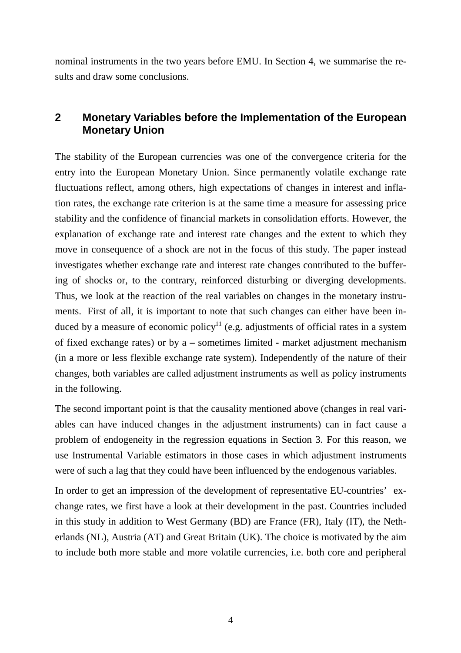nominal instruments in the two years before EMU. In Section 4, we summarise the results and draw some conclusions.

# **2 Monetary Variables before the Implementation of the European Monetary Union**

The stability of the European currencies was one of the convergence criteria for the entry into the European Monetary Union. Since permanently volatile exchange rate fluctuations reflect, among others, high expectations of changes in interest and inflation rates, the exchange rate criterion is at the same time a measure for assessing price stability and the confidence of financial markets in consolidation efforts. However, the explanation of exchange rate and interest rate changes and the extent to which they move in consequence of a shock are not in the focus of this study. The paper instead investigates whether exchange rate and interest rate changes contributed to the buffering of shocks or, to the contrary, reinforced disturbing or diverging developments. Thus, we look at the reaction of the real variables on changes in the monetary instruments. First of all, it is important to note that such changes can either have been induced by a measure of economic policy<sup>11</sup> (e.g. adjustments of official rates in a system of fixed exchange rates) or by a **–** sometimes limited **-** market adjustment mechanism (in a more or less flexible exchange rate system). Independently of the nature of their changes, both variables are called adjustment instruments as well as policy instruments in the following.

The second important point is that the causality mentioned above (changes in real variables can have induced changes in the adjustment instruments) can in fact cause a problem of endogeneity in the regression equations in Section 3. For this reason, we use Instrumental Variable estimators in those cases in which adjustment instruments were of such a lag that they could have been influenced by the endogenous variables.

In order to get an impression of the development of representative EU-countries' exchange rates, we first have a look at their development in the past. Countries included in this study in addition to West Germany (BD) are France (FR), Italy (IT), the Netherlands (NL), Austria (AT) and Great Britain (UK). The choice is motivated by the aim to include both more stable and more volatile currencies, i.e. both core and peripheral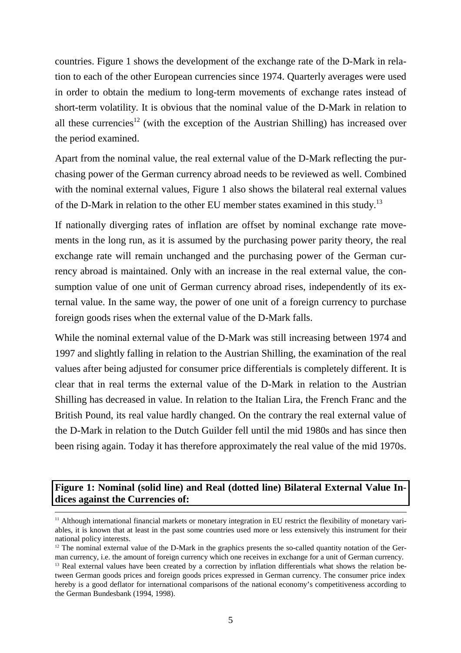countries. Figure 1 shows the development of the exchange rate of the D-Mark in relation to each of the other European currencies since 1974. Quarterly averages were used in order to obtain the medium to long-term movements of exchange rates instead of short-term volatility. It is obvious that the nominal value of the D-Mark in relation to all these currencies<sup>12</sup> (with the exception of the Austrian Shilling) has increased over the period examined.

Apart from the nominal value, the real external value of the D-Mark reflecting the purchasing power of the German currency abroad needs to be reviewed as well. Combined with the nominal external values, Figure 1 also shows the bilateral real external values of the D-Mark in relation to the other EU member states examined in this study.<sup>13</sup>

If nationally diverging rates of inflation are offset by nominal exchange rate movements in the long run, as it is assumed by the purchasing power parity theory, the real exchange rate will remain unchanged and the purchasing power of the German currency abroad is maintained. Only with an increase in the real external value, the consumption value of one unit of German currency abroad rises, independently of its external value. In the same way, the power of one unit of a foreign currency to purchase foreign goods rises when the external value of the D-Mark falls.

While the nominal external value of the D-Mark was still increasing between 1974 and 1997 and slightly falling in relation to the Austrian Shilling, the examination of the real values after being adjusted for consumer price differentials is completely different. It is clear that in real terms the external value of the D-Mark in relation to the Austrian Shilling has decreased in value. In relation to the Italian Lira, the French Franc and the British Pound, its real value hardly changed. On the contrary the real external value of the D-Mark in relation to the Dutch Guilder fell until the mid 1980s and has since then been rising again. Today it has therefore approximately the real value of the mid 1970s.

## **Figure 1: Nominal (solid line) and Real (dotted line) Bilateral External Value Indices against the Currencies of:**

<sup>&</sup>lt;sup>11</sup> Although international financial markets or monetary integration in EU restrict the flexibility of monetary variables, it is known that at least in the past some countries used more or less extensively this instrument for their national policy interests.

 $12$  The nominal external value of the D-Mark in the graphics presents the so-called quantity notation of the German currency, i.e. the amount of foreign currency which one receives in exchange for a unit of German currency.

<sup>&</sup>lt;sup>13</sup> Real external values have been created by a correction by inflation differentials what shows the relation between German goods prices and foreign goods prices expressed in German currency. The consumer price index hereby is a good deflator for international comparisons of the national economy's competitiveness according to the German Bundesbank (1994, 1998).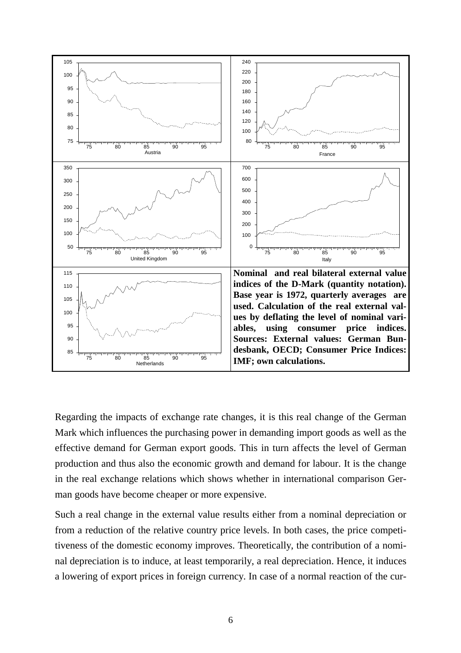

Regarding the impacts of exchange rate changes, it is this real change of the German Mark which influences the purchasing power in demanding import goods as well as the effective demand for German export goods. This in turn affects the level of German production and thus also the economic growth and demand for labour. It is the change in the real exchange relations which shows whether in international comparison German goods have become cheaper or more expensive.

Such a real change in the external value results either from a nominal depreciation or from a reduction of the relative country price levels. In both cases, the price competitiveness of the domestic economy improves. Theoretically, the contribution of a nominal depreciation is to induce, at least temporarily, a real depreciation. Hence, it induces a lowering of export prices in foreign currency. In case of a normal reaction of the cur-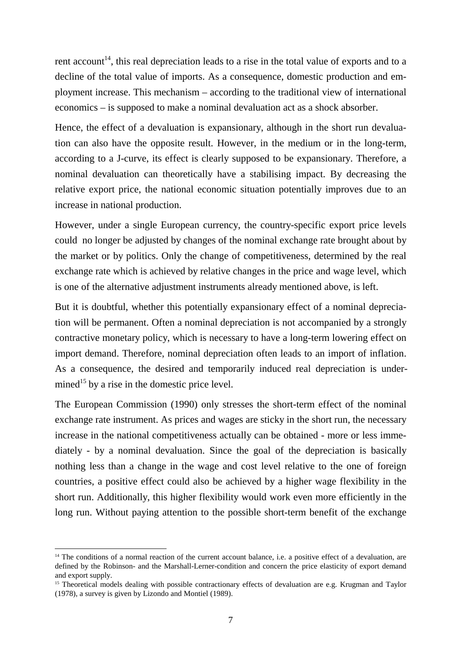rent account<sup>14</sup>, this real depreciation leads to a rise in the total value of exports and to a decline of the total value of imports. As a consequence, domestic production and employment increase. This mechanism – according to the traditional view of international economics – is supposed to make a nominal devaluation act as a shock absorber.

Hence, the effect of a devaluation is expansionary, although in the short run devaluation can also have the opposite result. However, in the medium or in the long-term, according to a J-curve, its effect is clearly supposed to be expansionary. Therefore, a nominal devaluation can theoretically have a stabilising impact. By decreasing the relative export price, the national economic situation potentially improves due to an increase in national production.

However, under a single European currency, the country-specific export price levels could no longer be adjusted by changes of the nominal exchange rate brought about by the market or by politics. Only the change of competitiveness, determined by the real exchange rate which is achieved by relative changes in the price and wage level, which is one of the alternative adjustment instruments already mentioned above, is left.

But it is doubtful, whether this potentially expansionary effect of a nominal depreciation will be permanent. Often a nominal depreciation is not accompanied by a strongly contractive monetary policy, which is necessary to have a long-term lowering effect on import demand. Therefore, nominal depreciation often leads to an import of inflation. As a consequence, the desired and temporarily induced real depreciation is undermined<sup>15</sup> by a rise in the domestic price level.

The European Commission (1990) only stresses the short-term effect of the nominal exchange rate instrument. As prices and wages are sticky in the short run, the necessary increase in the national competitiveness actually can be obtained - more or less immediately - by a nominal devaluation. Since the goal of the depreciation is basically nothing less than a change in the wage and cost level relative to the one of foreign countries, a positive effect could also be achieved by a higher wage flexibility in the short run. Additionally, this higher flexibility would work even more efficiently in the long run. Without paying attention to the possible short-term benefit of the exchange

l

<sup>&</sup>lt;sup>14</sup> The conditions of a normal reaction of the current account balance, i.e. a positive effect of a devaluation, are defined by the Robinson- and the Marshall-Lerner-condition and concern the price elasticity of export demand and export supply.

<sup>&</sup>lt;sup>15</sup> Theoretical models dealing with possible contractionary effects of devaluation are e.g. Krugman and Taylor (1978), a survey is given by Lizondo and Montiel (1989).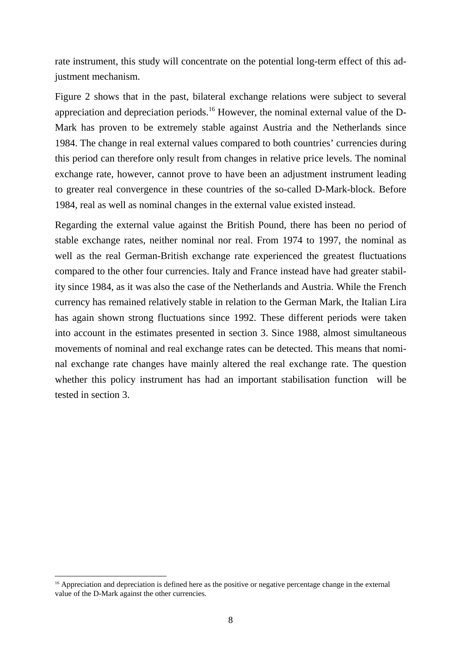rate instrument, this study will concentrate on the potential long-term effect of this adjustment mechanism.

Figure 2 shows that in the past, bilateral exchange relations were subject to several appreciation and depreciation periods.<sup>16</sup> However, the nominal external value of the D-Mark has proven to be extremely stable against Austria and the Netherlands since 1984. The change in real external values compared to both countries' currencies during this period can therefore only result from changes in relative price levels. The nominal exchange rate, however, cannot prove to have been an adjustment instrument leading to greater real convergence in these countries of the so-called D-Mark-block. Before 1984, real as well as nominal changes in the external value existed instead.

Regarding the external value against the British Pound, there has been no period of stable exchange rates, neither nominal nor real. From 1974 to 1997, the nominal as well as the real German-British exchange rate experienced the greatest fluctuations compared to the other four currencies. Italy and France instead have had greater stability since 1984, as it was also the case of the Netherlands and Austria. While the French currency has remained relatively stable in relation to the German Mark, the Italian Lira has again shown strong fluctuations since 1992. These different periods were taken into account in the estimates presented in section 3. Since 1988, almost simultaneous movements of nominal and real exchange rates can be detected. This means that nominal exchange rate changes have mainly altered the real exchange rate. The question whether this policy instrument has had an important stabilisation function will be tested in section 3.

l

<sup>&</sup>lt;sup>16</sup> Appreciation and depreciation is defined here as the positive or negative percentage change in the external value of the D-Mark against the other currencies.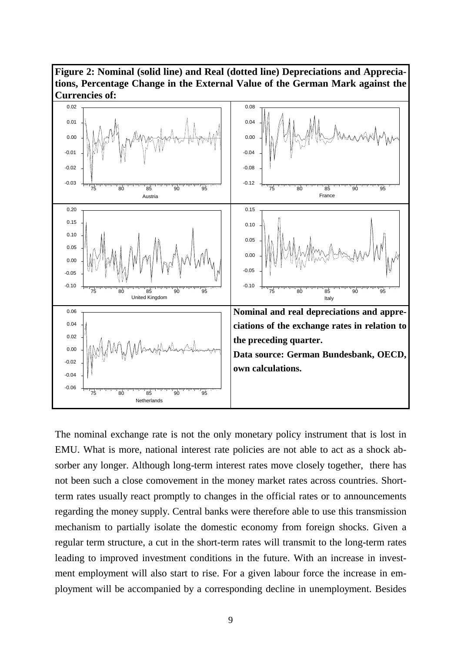



The nominal exchange rate is not the only monetary policy instrument that is lost in EMU. What is more, national interest rate policies are not able to act as a shock absorber any longer. Although long-term interest rates move closely together, there has not been such a close comovement in the money market rates across countries. Shortterm rates usually react promptly to changes in the official rates or to announcements regarding the money supply. Central banks were therefore able to use this transmission mechanism to partially isolate the domestic economy from foreign shocks. Given a regular term structure, a cut in the short-term rates will transmit to the long-term rates leading to improved investment conditions in the future. With an increase in investment employment will also start to rise. For a given labour force the increase in employment will be accompanied by a corresponding decline in unemployment. Besides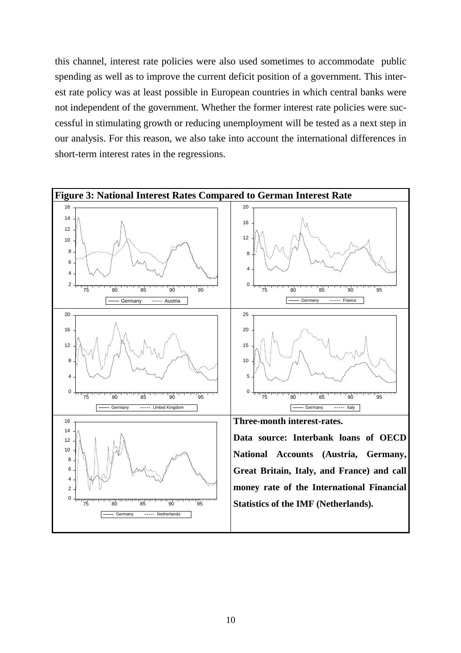this channel, interest rate policies were also used sometimes to accommodate public spending as well as to improve the current deficit position of a government. This interest rate policy was at least possible in European countries in which central banks were not independent of the government. Whether the former interest rate policies were successful in stimulating growth or reducing unemployment will be tested as a next step in our analysis. For this reason, we also take into account the international differences in short-term interest rates in the regressions.

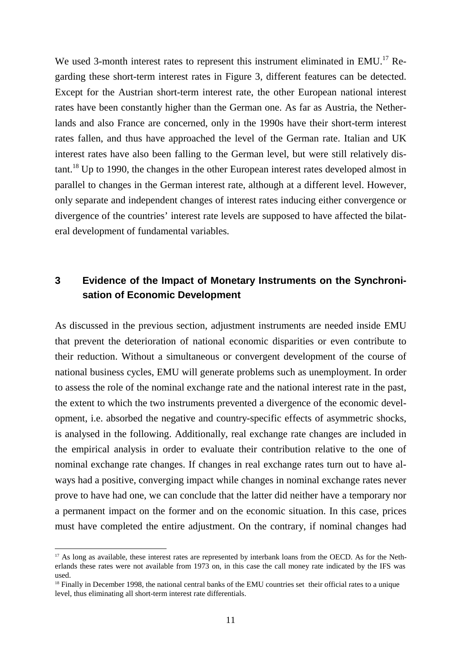We used 3-month interest rates to represent this instrument eliminated in EMU.<sup>17</sup> Regarding these short-term interest rates in Figure 3, different features can be detected. Except for the Austrian short-term interest rate, the other European national interest rates have been constantly higher than the German one. As far as Austria, the Netherlands and also France are concerned, only in the 1990s have their short-term interest rates fallen, and thus have approached the level of the German rate. Italian and UK interest rates have also been falling to the German level, but were still relatively dis- $\tau$  tant.<sup>18</sup> Up to 1990, the changes in the other European interest rates developed almost in parallel to changes in the German interest rate, although at a different level. However, only separate and independent changes of interest rates inducing either convergence or divergence of the countries' interest rate levels are supposed to have affected the bilateral development of fundamental variables.

## **3 Evidence of the Impact of Monetary Instruments on the Synchronisation of Economic Development**

As discussed in the previous section, adjustment instruments are needed inside EMU that prevent the deterioration of national economic disparities or even contribute to their reduction. Without a simultaneous or convergent development of the course of national business cycles, EMU will generate problems such as unemployment. In order to assess the role of the nominal exchange rate and the national interest rate in the past, the extent to which the two instruments prevented a divergence of the economic development, i.e. absorbed the negative and country-specific effects of asymmetric shocks, is analysed in the following. Additionally, real exchange rate changes are included in the empirical analysis in order to evaluate their contribution relative to the one of nominal exchange rate changes. If changes in real exchange rates turn out to have always had a positive, converging impact while changes in nominal exchange rates never prove to have had one, we can conclude that the latter did neither have a temporary nor a permanent impact on the former and on the economic situation. In this case, prices must have completed the entire adjustment. On the contrary, if nominal changes had

l

<sup>&</sup>lt;sup>17</sup> As long as available, these interest rates are represented by interbank loans from the OECD. As for the Netherlands these rates were not available from 1973 on, in this case the call money rate indicated by the IFS was used.

<sup>&</sup>lt;sup>18</sup> Finally in December 1998, the national central banks of the EMU countries set their official rates to a unique level, thus eliminating all short-term interest rate differentials.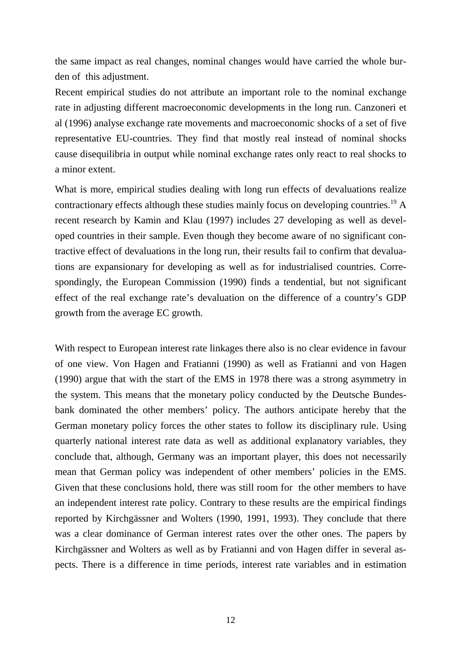the same impact as real changes, nominal changes would have carried the whole burden of this adjustment.

Recent empirical studies do not attribute an important role to the nominal exchange rate in adjusting different macroeconomic developments in the long run. Canzoneri et al (1996) analyse exchange rate movements and macroeconomic shocks of a set of five representative EU-countries. They find that mostly real instead of nominal shocks cause disequilibria in output while nominal exchange rates only react to real shocks to a minor extent.

What is more, empirical studies dealing with long run effects of devaluations realize contractionary effects although these studies mainly focus on developing countries.<sup>19</sup> A recent research by Kamin and Klau (1997) includes 27 developing as well as developed countries in their sample. Even though they become aware of no significant contractive effect of devaluations in the long run, their results fail to confirm that devaluations are expansionary for developing as well as for industrialised countries. Correspondingly, the European Commission (1990) finds a tendential, but not significant effect of the real exchange rate's devaluation on the difference of a country's GDP growth from the average EC growth.

With respect to European interest rate linkages there also is no clear evidence in favour of one view. Von Hagen and Fratianni (1990) as well as Fratianni and von Hagen (1990) argue that with the start of the EMS in 1978 there was a strong asymmetry in the system. This means that the monetary policy conducted by the Deutsche Bundesbank dominated the other members' policy. The authors anticipate hereby that the German monetary policy forces the other states to follow its disciplinary rule. Using quarterly national interest rate data as well as additional explanatory variables, they conclude that, although, Germany was an important player, this does not necessarily mean that German policy was independent of other members' policies in the EMS. Given that these conclusions hold, there was still room for the other members to have an independent interest rate policy. Contrary to these results are the empirical findings reported by Kirchgässner and Wolters (1990, 1991, 1993). They conclude that there was a clear dominance of German interest rates over the other ones. The papers by Kirchgässner and Wolters as well as by Fratianni and von Hagen differ in several aspects. There is a difference in time periods, interest rate variables and in estimation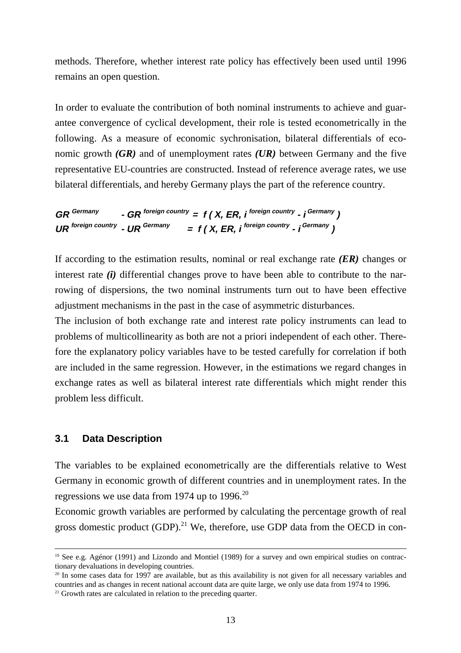methods. Therefore, whether interest rate policy has effectively been used until 1996 remains an open question.

In order to evaluate the contribution of both nominal instruments to achieve and guarantee convergence of cyclical development, their role is tested econometrically in the following. As a measure of economic sychronisation, bilateral differentials of economic growth *(GR)* and of unemployment rates *(UR)* between Germany and the five representative EU-countries are constructed. Instead of reference average rates, we use bilateral differentials, and hereby Germany plays the part of the reference country.

```
GR Germany - GR foreign country = f ( X, ER, i foreign country - i Germany )
UR \frac{1}{2} UR \frac{1}{2} LER \frac{1}{2} CER \frac{1}{2} CER \frac{1}{2} Germany )
```
If according to the estimation results, nominal or real exchange rate *(ER)* changes or interest rate *(i)* differential changes prove to have been able to contribute to the narrowing of dispersions, the two nominal instruments turn out to have been effective adjustment mechanisms in the past in the case of asymmetric disturbances.

The inclusion of both exchange rate and interest rate policy instruments can lead to problems of multicollinearity as both are not a priori independent of each other. Therefore the explanatory policy variables have to be tested carefully for correlation if both are included in the same regression. However, in the estimations we regard changes in exchange rates as well as bilateral interest rate differentials which might render this problem less difficult.

### **3.1 Data Description**

The variables to be explained econometrically are the differentials relative to West Germany in economic growth of different countries and in unemployment rates. In the regressions we use data from 1974 up to 1996.<sup>20</sup>

Economic growth variables are performed by calculating the percentage growth of real gross domestic product  $(GDP)$ .<sup>21</sup> We, therefore, use GDP data from the OECD in con-

<sup>&</sup>lt;sup>19</sup> See e.g. Agénor (1991) and Lizondo and Montiel (1989) for a survey and own empirical studies on contractionary devaluations in developing countries.

 $20$  In some cases data for 1997 are available, but as this availability is not given for all necessary variables and countries and as changes in recent national account data are quite large, we only use data from 1974 to 1996.

 $21$  Growth rates are calculated in relation to the preceding quarter.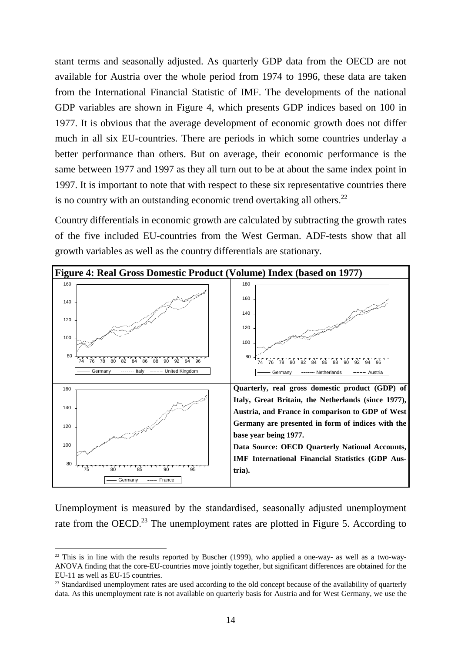stant terms and seasonally adjusted. As quarterly GDP data from the OECD are not available for Austria over the whole period from 1974 to 1996, these data are taken from the International Financial Statistic of IMF. The developments of the national GDP variables are shown in Figure 4, which presents GDP indices based on 100 in 1977. It is obvious that the average development of economic growth does not differ much in all six EU-countries. There are periods in which some countries underlay a better performance than others. But on average, their economic performance is the same between 1977 and 1997 as they all turn out to be at about the same index point in 1997. It is important to note that with respect to these six representative countries there is no country with an outstanding economic trend overtaking all others.<sup>22</sup>

Country differentials in economic growth are calculated by subtracting the growth rates of the five included EU-countries from the West German. ADF-tests show that all growth variables as well as the country differentials are stationary.



Unemployment is measured by the standardised, seasonally adjusted unemployment rate from the OECD.<sup>23</sup> The unemployment rates are plotted in Figure 5. According to

l

 $22$  This is in line with the results reported by Buscher (1999), who applied a one-way- as well as a two-way-ANOVA finding that the core-EU-countries move jointly together, but significant differences are obtained for the EU-11 as well as EU-15 countries.

<sup>&</sup>lt;sup>23</sup> Standardised unemployment rates are used according to the old concept because of the availability of quarterly data. As this unemployment rate is not available on quarterly basis for Austria and for West Germany, we use the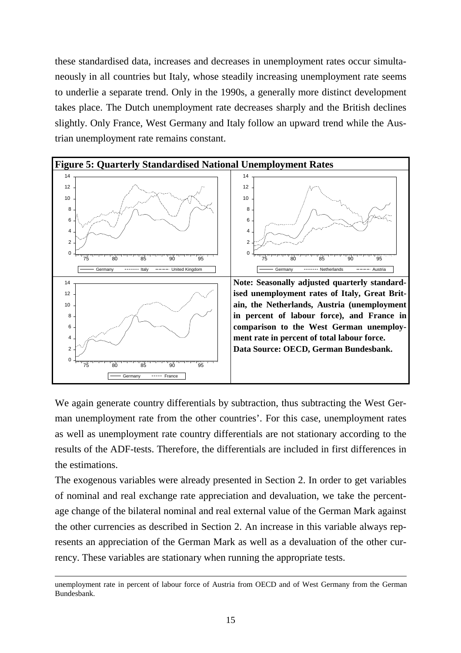these standardised data, increases and decreases in unemployment rates occur simultaneously in all countries but Italy, whose steadily increasing unemployment rate seems to underlie a separate trend. Only in the 1990s, a generally more distinct development takes place. The Dutch unemployment rate decreases sharply and the British declines slightly. Only France, West Germany and Italy follow an upward trend while the Austrian unemployment rate remains constant.



We again generate country differentials by subtraction, thus subtracting the West German unemployment rate from the other countries'. For this case, unemployment rates as well as unemployment rate country differentials are not stationary according to the results of the ADF-tests. Therefore, the differentials are included in first differences in the estimations.

The exogenous variables were already presented in Section 2. In order to get variables of nominal and real exchange rate appreciation and devaluation, we take the percentage change of the bilateral nominal and real external value of the German Mark against the other currencies as described in Section 2. An increase in this variable always represents an appreciation of the German Mark as well as a devaluation of the other currency. These variables are stationary when running the appropriate tests.

l

unemployment rate in percent of labour force of Austria from OECD and of West Germany from the German Bundesbank.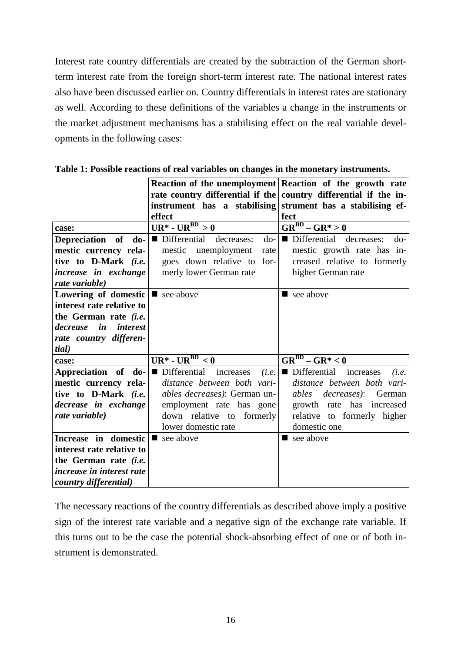Interest rate country differentials are created by the subtraction of the German shortterm interest rate from the foreign short-term interest rate. The national interest rates also have been discussed earlier on. Country differentials in interest rates are stationary as well. According to these definitions of the variables a change in the instruments or the market adjustment mechanisms has a stabilising effect on the real variable developments in the following cases:

|                                                      |                                                | Reaction of the unemployment Reaction of the growth rate         |
|------------------------------------------------------|------------------------------------------------|------------------------------------------------------------------|
|                                                      |                                                | rate country differential if the country differential if the in- |
|                                                      |                                                | instrument has a stabilising strument has a stabilising ef-      |
|                                                      | effect                                         | fect                                                             |
| case:                                                | $UR^*$ - $UR^{BD} > 0$                         | $\overline{\text{GR}^{\text{BD}} - \text{GR}^*} > 0$             |
| Depreciation of<br>$\bf{do}$                         | Differential decreases:<br>do-<br>$\mathbf{r}$ | Differential decreases:<br>$d_{0}$ -                             |
| mestic currency rela-                                | mestic unemployment<br>rate                    | mestic growth rate has in-                                       |
| tive to D-Mark (i.e.                                 | goes down relative to for-                     | creased relative to formerly                                     |
| increase in exchange                                 | merly lower German rate                        | higher German rate                                               |
| rate variable)                                       |                                                |                                                                  |
| <b>Lowering of domestic</b> $\blacksquare$ see above |                                                | $\blacksquare$ see above                                         |
| interest rate relative to                            |                                                |                                                                  |
| the German rate <i>(i.e.</i>                         |                                                |                                                                  |
| in<br>decrease<br><i>interest</i>                    |                                                |                                                                  |
| rate country differen-                               |                                                |                                                                  |
| tial)                                                |                                                |                                                                  |
| case:                                                | $UR^* - UR^{BD} < 0$                           | $\overline{\text{GR}^{\text{BD}} - \text{GR}^*} < 0$             |
| Appreciation of do-                                  | Differential<br>increases<br>п<br>(i.e.        | Differential<br>increases<br>(i.e.                               |
| mestic currency rela-                                | distance between both vari-                    | distance between both vari-                                      |
| tive to D-Mark (i.e.                                 | <i>ables decreases</i> ): German un-           | <i>ables decreases</i> ):<br>German                              |
| decrease in exchange                                 | employment rate has gone                       | growth rate has increased                                        |
| rate variable)                                       | down relative to<br>formerly                   | relative to formerly higher                                      |
|                                                      | lower domestic rate                            | domestic one                                                     |
| Increase in domestic                                 | $\blacksquare$ see above                       | $\blacksquare$ see above                                         |
| interest rate relative to                            |                                                |                                                                  |
| the German rate <i>(i.e.</i>                         |                                                |                                                                  |
| increase in interest rate                            |                                                |                                                                  |
| <i>country differential</i> )                        |                                                |                                                                  |

**Table 1: Possible reactions of real variables on changes in the monetary instruments.**

The necessary reactions of the country differentials as described above imply a positive sign of the interest rate variable and a negative sign of the exchange rate variable. If this turns out to be the case the potential shock-absorbing effect of one or of both instrument is demonstrated.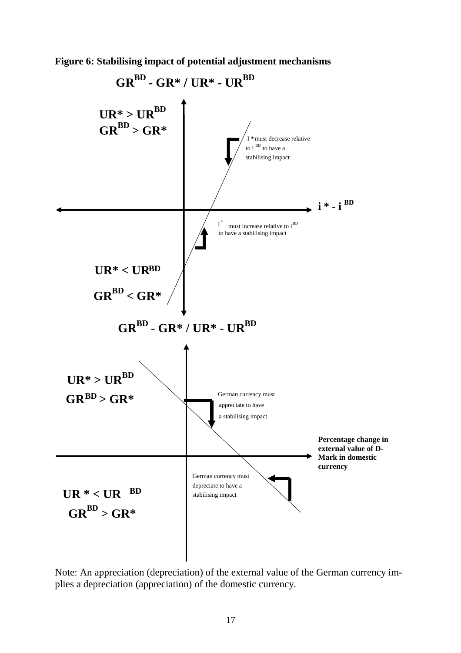**Figure 6: Stabilising impact of potential adjustment mechanisms**



Note: An appreciation (depreciation) of the external value of the German currency implies a depreciation (appreciation) of the domestic currency.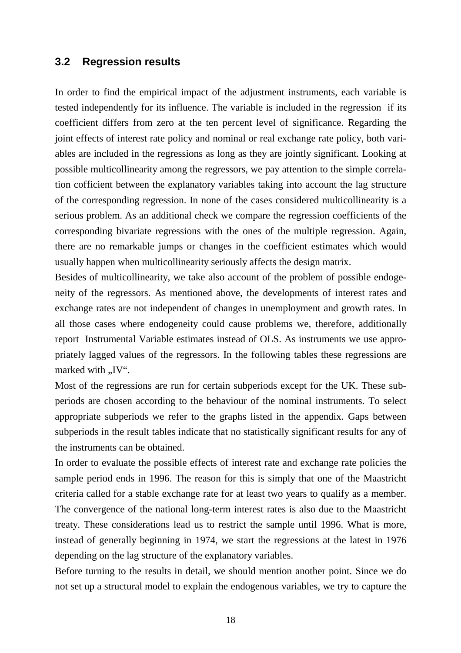## **3.2 Regression results**

In order to find the empirical impact of the adjustment instruments, each variable is tested independently for its influence. The variable is included in the regression if its coefficient differs from zero at the ten percent level of significance. Regarding the joint effects of interest rate policy and nominal or real exchange rate policy, both variables are included in the regressions as long as they are jointly significant. Looking at possible multicollinearity among the regressors, we pay attention to the simple correlation cofficient between the explanatory variables taking into account the lag structure of the corresponding regression. In none of the cases considered multicollinearity is a serious problem. As an additional check we compare the regression coefficients of the corresponding bivariate regressions with the ones of the multiple regression. Again, there are no remarkable jumps or changes in the coefficient estimates which would usually happen when multicollinearity seriously affects the design matrix.

Besides of multicollinearity, we take also account of the problem of possible endogeneity of the regressors. As mentioned above, the developments of interest rates and exchange rates are not independent of changes in unemployment and growth rates. In all those cases where endogeneity could cause problems we, therefore, additionally report Instrumental Variable estimates instead of OLS. As instruments we use appropriately lagged values of the regressors. In the following tables these regressions are marked with ..IV".

Most of the regressions are run for certain subperiods except for the UK. These subperiods are chosen according to the behaviour of the nominal instruments. To select appropriate subperiods we refer to the graphs listed in the appendix. Gaps between subperiods in the result tables indicate that no statistically significant results for any of the instruments can be obtained.

In order to evaluate the possible effects of interest rate and exchange rate policies the sample period ends in 1996. The reason for this is simply that one of the Maastricht criteria called for a stable exchange rate for at least two years to qualify as a member. The convergence of the national long-term interest rates is also due to the Maastricht treaty. These considerations lead us to restrict the sample until 1996. What is more, instead of generally beginning in 1974, we start the regressions at the latest in 1976 depending on the lag structure of the explanatory variables.

Before turning to the results in detail, we should mention another point. Since we do not set up a structural model to explain the endogenous variables, we try to capture the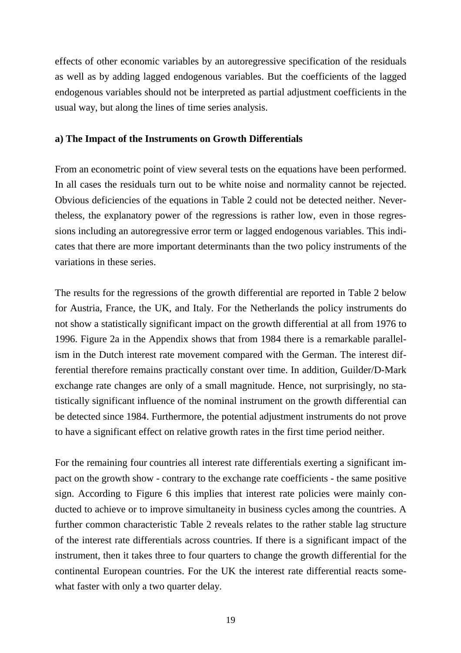effects of other economic variables by an autoregressive specification of the residuals as well as by adding lagged endogenous variables. But the coefficients of the lagged endogenous variables should not be interpreted as partial adjustment coefficients in the usual way, but along the lines of time series analysis.

### **a) The Impact of the Instruments on Growth Differentials**

From an econometric point of view several tests on the equations have been performed. In all cases the residuals turn out to be white noise and normality cannot be rejected. Obvious deficiencies of the equations in Table 2 could not be detected neither. Nevertheless, the explanatory power of the regressions is rather low, even in those regressions including an autoregressive error term or lagged endogenous variables. This indicates that there are more important determinants than the two policy instruments of the variations in these series.

The results for the regressions of the growth differential are reported in Table 2 below for Austria, France, the UK, and Italy. For the Netherlands the policy instruments do not show a statistically significant impact on the growth differential at all from 1976 to 1996. Figure 2a in the Appendix shows that from 1984 there is a remarkable parallelism in the Dutch interest rate movement compared with the German. The interest differential therefore remains practically constant over time. In addition, Guilder/D-Mark exchange rate changes are only of a small magnitude. Hence, not surprisingly, no statistically significant influence of the nominal instrument on the growth differential can be detected since 1984. Furthermore, the potential adjustment instruments do not prove to have a significant effect on relative growth rates in the first time period neither.

For the remaining four countries all interest rate differentials exerting a significant impact on the growth show - contrary to the exchange rate coefficients - the same positive sign. According to Figure 6 this implies that interest rate policies were mainly conducted to achieve or to improve simultaneity in business cycles among the countries. A further common characteristic Table 2 reveals relates to the rather stable lag structure of the interest rate differentials across countries. If there is a significant impact of the instrument, then it takes three to four quarters to change the growth differential for the continental European countries. For the UK the interest rate differential reacts somewhat faster with only a two quarter delay.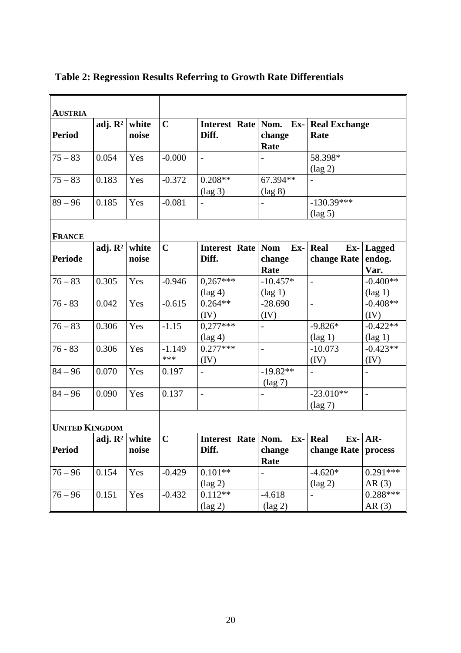| <b>AUSTRIA</b>        |                           |       |             |                                 |                   |                      |                   |
|-----------------------|---------------------------|-------|-------------|---------------------------------|-------------------|----------------------|-------------------|
|                       | adj. $\mathbb{R}^2$       | white | $\mathbf C$ | Interest Rate Nom.              | Ex-               | <b>Real Exchange</b> |                   |
| <b>Period</b>         |                           | noise |             | Diff.                           | change            | Rate                 |                   |
|                       |                           |       |             |                                 | Rate              |                      |                   |
| $75 - 83$             | 0.054                     | Yes   | $-0.000$    | $\overline{a}$                  |                   | 58.398*              |                   |
|                       |                           |       |             |                                 |                   | $(\text{lag } 2)$    |                   |
| $75 - 83$             | 0.183                     | Yes   | $-0.372$    | $0.208**$                       | 67.394**          |                      |                   |
|                       |                           |       |             | $(\text{lag } 3)$               | $(\text{lag } 8)$ |                      |                   |
| $89 - 96$             | 0.185                     | Yes   | $-0.081$    |                                 |                   | $-130.39***$         |                   |
|                       |                           |       |             |                                 |                   | $(\text{lag } 5)$    |                   |
|                       |                           |       |             |                                 |                   |                      |                   |
| <b>FRANCE</b>         | adj. $\mathbb{R}^2$       | white | $\mathbf C$ | Interest Rate Nom               | $Ex-$             | Real                 | $Ex$ - Lagged     |
| <b>Periode</b>        |                           | noise |             | Diff.                           | change            | change Rate          | endog.            |
|                       |                           |       |             |                                 | Rate              |                      | Var.              |
| $76 - 83$             | 0.305                     | Yes   | $-0.946$    | $0,267***$                      | $-10.457*$        | $\overline{a}$       | $-0.400**$        |
|                       |                           |       |             | $(\text{lag } 4)$               | $(\text{lag } 1)$ |                      | $(\text{lag } 1)$ |
| $76 - 83$             | 0.042                     | Yes   | $-0.615$    | $0.264**$                       | $-28.690$         | $\frac{1}{2}$        | $-0.408**$        |
|                       |                           |       |             | (IV)                            | (IV)              |                      | (IV)              |
| $76 - 83$             | 0.306                     | Yes   | $-1.15$     | $0,277***$                      | $\overline{a}$    | $-9.826*$            | $-0.422**$        |
|                       |                           |       |             | $(\text{lag } 4)$               |                   | $(\text{lag } 1)$    | $(\text{lag } 1)$ |
| $76 - 83$             | 0.306                     | Yes   | $-1.149$    | $0.277***$                      | $\overline{a}$    | $-10.073$            | $-0.423**$        |
|                       |                           |       | ***         | (IV)                            |                   | (IV)                 | (IV)              |
| $84 - 96$             | 0.070                     | Yes   | 0.197       | $\overline{\phantom{a}}$        | $-19.82**$        |                      |                   |
|                       |                           |       |             |                                 | $(\text{lag } 7)$ |                      |                   |
| $84 - 96$             | 0.090                     | Yes   | 0.137       | $\frac{1}{2}$                   |                   | $-23.010**$          | $\overline{a}$    |
|                       |                           |       |             |                                 |                   | $(\text{lag } 7)$    |                   |
|                       |                           |       |             |                                 |                   |                      |                   |
| <b>UNITED KINGDOM</b> |                           |       |             |                                 |                   |                      |                   |
|                       | adj. $\mathbb{R}^2$ white |       | $\mathbf C$ | Interest Rate   Nom. Ex-   Real |                   |                      | $Ex$ - AR-        |
| <b>Period</b>         |                           | noise |             | Diff.                           | change            | change Rate          | process           |
|                       |                           |       |             |                                 | Rate              |                      |                   |
| $76 - 96$             | 0.154                     | Yes   | $-0.429$    | $0.101**$                       |                   | $-4.620*$            | $0.291***$        |
|                       |                           |       |             | $(\text{lag } 2)$               |                   | $(\text{lag } 2)$    | AR(3)             |
| $76 - 96$             | 0.151                     | Yes   | $-0.432$    | $0.112**$                       | $-4.618$          |                      | $0.288***$        |
|                       |                           |       |             | $(\text{lag } 2)$               | $(\text{lag } 2)$ |                      | AR(3)             |

**Table 2: Regression Results Referring to Growth Rate Differentials**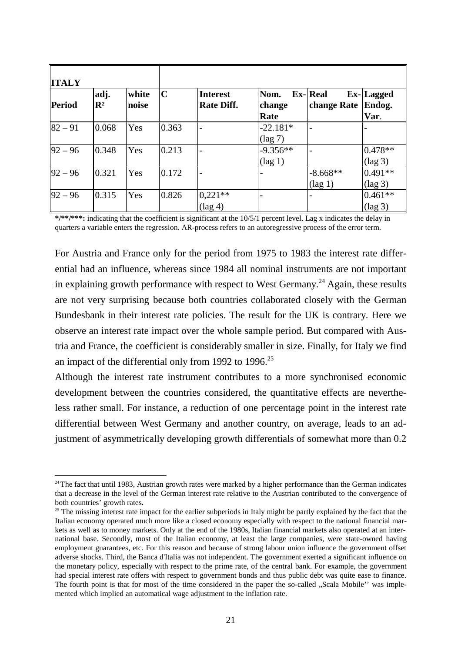| <b>ITALY</b> |                        |                |             |                                      |                                 |                                   |                                |
|--------------|------------------------|----------------|-------------|--------------------------------------|---------------------------------|-----------------------------------|--------------------------------|
| Period       | adj.<br>$\mathbb{R}^2$ | white<br>noise | $\mathbf C$ | <b>Interest</b><br><b>Rate Diff.</b> | Nom.<br>change<br>Rate          | $Ex$ - Real<br>change Rate Endog. | Ex-Lagged<br>Var.              |
| $82 - 91$    | 0.068                  | Yes            | 0.363       |                                      | $-22.181*$<br>$(\text{lag } 7)$ |                                   |                                |
| $92 - 96$    | 0.348                  | Yes            | 0.213       |                                      | $-9.356**$<br>$(\text{lag } 1)$ |                                   | $0.478**$<br>$(\text{lag } 3)$ |
| $92 - 96$    | 0.321                  | Yes            | 0.172       |                                      |                                 | $-8.668**$<br>$(\text{lag } 1)$   | $0.491**$<br>$(\text{lag } 3)$ |
| $92 - 96$    | 0.315                  | Yes            | 0.826       | $0,221**$<br>$(\text{lag } 4)$       |                                 |                                   | $0.461**$<br>$(\text{lag } 3)$ |

**\*/\*\*/\*\*\*:** indicating that the coefficient is significant at the 10/5/1 percent level. Lag x indicates the delay in quarters a variable enters the regression. AR-process refers to an autoregressive process of the error term.

For Austria and France only for the period from 1975 to 1983 the interest rate differential had an influence, whereas since 1984 all nominal instruments are not important in explaining growth performance with respect to West Germany.<sup>24</sup> Again, these results are not very surprising because both countries collaborated closely with the German Bundesbank in their interest rate policies. The result for the UK is contrary. Here we observe an interest rate impact over the whole sample period. But compared with Austria and France, the coefficient is considerably smaller in size. Finally, for Italy we find an impact of the differential only from 1992 to 1996.<sup>25</sup>

Although the interest rate instrument contributes to a more synchronised economic development between the countries considered, the quantitative effects are nevertheless rather small. For instance, a reduction of one percentage point in the interest rate differential between West Germany and another country, on average, leads to an adjustment of asymmetrically developing growth differentials of somewhat more than 0.2

j

<sup>&</sup>lt;sup>24</sup> The fact that until 1983, Austrian growth rates were marked by a higher performance than the German indicates that a decrease in the level of the German interest rate relative to the Austrian contributed to the convergence of both countries' growth rates**.**

 $25$  The missing interest rate impact for the earlier subperiods in Italy might be partly explained by the fact that the Italian economy operated much more like a closed economy especially with respect to the national financial markets as well as to money markets. Only at the end of the 1980s, Italian financial markets also operated at an international base. Secondly, most of the Italian economy, at least the large companies, were state-owned having employment guarantees, etc. For this reason and because of strong labour union influence the government offset adverse shocks. Third, the Banca d'Italia was not independent. The government exerted a significant influence on the monetary policy, especially with respect to the prime rate, of the central bank. For example, the government had special interest rate offers with respect to government bonds and thus public debt was quite ease to finance. The fourth point is that for most of the time considered in the paper the so-called "Scala Mobile'' was implemented which implied an automatical wage adjustment to the inflation rate.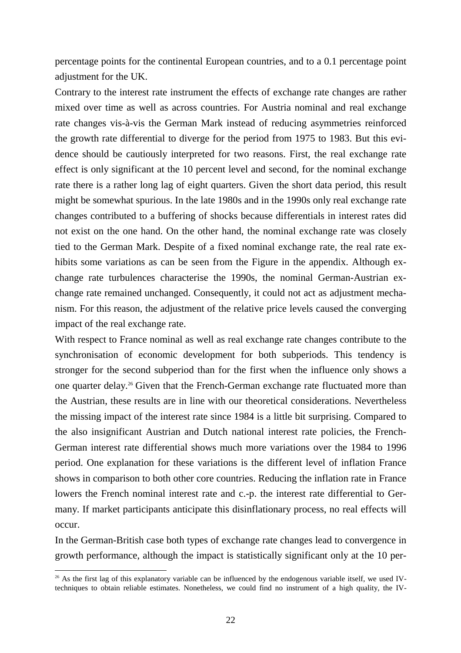percentage points for the continental European countries, and to a 0.1 percentage point adjustment for the UK.

Contrary to the interest rate instrument the effects of exchange rate changes are rather mixed over time as well as across countries. For Austria nominal and real exchange rate changes vis-à-vis the German Mark instead of reducing asymmetries reinforced the growth rate differential to diverge for the period from 1975 to 1983. But this evidence should be cautiously interpreted for two reasons. First, the real exchange rate effect is only significant at the 10 percent level and second, for the nominal exchange rate there is a rather long lag of eight quarters. Given the short data period, this result might be somewhat spurious. In the late 1980s and in the 1990s only real exchange rate changes contributed to a buffering of shocks because differentials in interest rates did not exist on the one hand. On the other hand, the nominal exchange rate was closely tied to the German Mark. Despite of a fixed nominal exchange rate, the real rate exhibits some variations as can be seen from the Figure in the appendix. Although exchange rate turbulences characterise the 1990s, the nominal German-Austrian exchange rate remained unchanged. Consequently, it could not act as adjustment mechanism. For this reason, the adjustment of the relative price levels caused the converging impact of the real exchange rate.

With respect to France nominal as well as real exchange rate changes contribute to the synchronisation of economic development for both subperiods. This tendency is stronger for the second subperiod than for the first when the influence only shows a one quarter delay.26 Given that the French-German exchange rate fluctuated more than the Austrian, these results are in line with our theoretical considerations. Nevertheless the missing impact of the interest rate since 1984 is a little bit surprising. Compared to the also insignificant Austrian and Dutch national interest rate policies, the French-German interest rate differential shows much more variations over the 1984 to 1996 period. One explanation for these variations is the different level of inflation France shows in comparison to both other core countries. Reducing the inflation rate in France lowers the French nominal interest rate and c.-p. the interest rate differential to Germany. If market participants anticipate this disinflationary process, no real effects will occur.

In the German-British case both types of exchange rate changes lead to convergence in growth performance, although the impact is statistically significant only at the 10 per-

l

 $26$  As the first lag of this explanatory variable can be influenced by the endogenous variable itself, we used IVtechniques to obtain reliable estimates. Nonetheless, we could find no instrument of a high quality, the IV-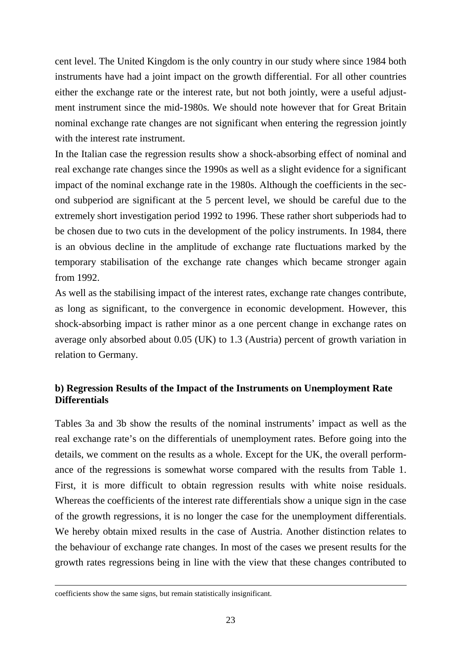cent level. The United Kingdom is the only country in our study where since 1984 both instruments have had a joint impact on the growth differential. For all other countries either the exchange rate or the interest rate, but not both jointly, were a useful adjustment instrument since the mid-1980s. We should note however that for Great Britain nominal exchange rate changes are not significant when entering the regression jointly with the interest rate instrument.

In the Italian case the regression results show a shock-absorbing effect of nominal and real exchange rate changes since the 1990s as well as a slight evidence for a significant impact of the nominal exchange rate in the 1980s. Although the coefficients in the second subperiod are significant at the 5 percent level, we should be careful due to the extremely short investigation period 1992 to 1996. These rather short subperiods had to be chosen due to two cuts in the development of the policy instruments. In 1984, there is an obvious decline in the amplitude of exchange rate fluctuations marked by the temporary stabilisation of the exchange rate changes which became stronger again from 1992.

As well as the stabilising impact of the interest rates, exchange rate changes contribute, as long as significant, to the convergence in economic development. However, this shock-absorbing impact is rather minor as a one percent change in exchange rates on average only absorbed about 0.05 (UK) to 1.3 (Austria) percent of growth variation in relation to Germany.

## **b) Regression Results of the Impact of the Instruments on Unemployment Rate Differentials**

Tables 3a and 3b show the results of the nominal instruments' impact as well as the real exchange rate's on the differentials of unemployment rates. Before going into the details, we comment on the results as a whole. Except for the UK, the overall performance of the regressions is somewhat worse compared with the results from Table 1. First, it is more difficult to obtain regression results with white noise residuals. Whereas the coefficients of the interest rate differentials show a unique sign in the case of the growth regressions, it is no longer the case for the unemployment differentials. We hereby obtain mixed results in the case of Austria. Another distinction relates to the behaviour of exchange rate changes. In most of the cases we present results for the growth rates regressions being in line with the view that these changes contributed to

-

coefficients show the same signs, but remain statistically insignificant.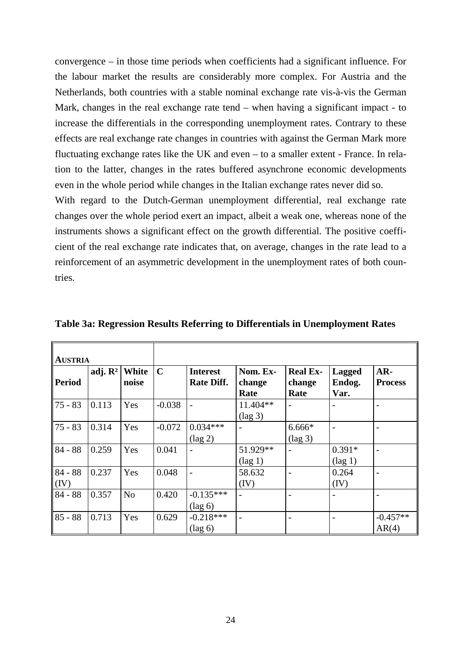convergence – in those time periods when coefficients had a significant influence. For the labour market the results are considerably more complex. For Austria and the Netherlands, both countries with a stable nominal exchange rate vis-à-vis the German Mark, changes in the real exchange rate tend – when having a significant impact - to increase the differentials in the corresponding unemployment rates. Contrary to these effects are real exchange rate changes in countries with against the German Mark more fluctuating exchange rates like the UK and even – to a smaller extent - France. In relation to the latter, changes in the rates buffered asynchrone economic developments even in the whole period while changes in the Italian exchange rates never did so.

With regard to the Dutch-German unemployment differential, real exchange rate changes over the whole period exert an impact, albeit a weak one, whereas none of the instruments shows a significant effect on the growth differential. The positive coefficient of the real exchange rate indicates that, on average, changes in the rate lead to a reinforcement of an asymmetric development in the unemployment rates of both countries.

| <b>AUSTRIA</b>    |                     |                       |             |                                      |                               |                                   |                                 |                         |
|-------------------|---------------------|-----------------------|-------------|--------------------------------------|-------------------------------|-----------------------------------|---------------------------------|-------------------------|
| <b>Period</b>     | adj. $\mathbb{R}^2$ | <b>White</b><br>noise | $\mathbf C$ | <b>Interest</b><br><b>Rate Diff.</b> | Nom. Ex-<br>change<br>Rate    | <b>Real Ex-</b><br>change<br>Rate | <b>Lagged</b><br>Endog.<br>Var. | $AR-$<br><b>Process</b> |
| $ 75 - 83 $       | 0.113               | Yes                   | $-0.038$    |                                      | 11.404**<br>$(\text{lag } 3)$ |                                   |                                 |                         |
| $75 - 83$         | 0.314               | Yes                   | $-0.072$    | $0.034***$<br>$(\text{lag } 2)$      |                               | 6.666*<br>$(\text{lag } 3)$       |                                 |                         |
| $84 - 88$         | 0.259               | Yes                   | 0.041       | $\overline{\phantom{a}}$             | 51.929**<br>$(\text{lag } 1)$ |                                   | $0.391*$<br>$(\text{lag } 1)$   | -                       |
| $84 - 88$<br>(IV) | 0.237               | Yes                   | 0.048       |                                      | 58.632<br>(IV)                |                                   | 0.264<br>(IV)                   |                         |
| $84 - 88$         | 0.357               | N <sub>o</sub>        | 0.420       | $-0.135***$<br>$(\text{lag } 6)$     |                               |                                   |                                 |                         |
| $85 - 88$         | 0.713               | Yes                   | 0.629       | $-0.218***$<br>$(\text{lag } 6)$     |                               |                                   |                                 | $-0.457**$<br>AR(4)     |

**Table 3a: Regression Results Referring to Differentials in Unemployment Rates**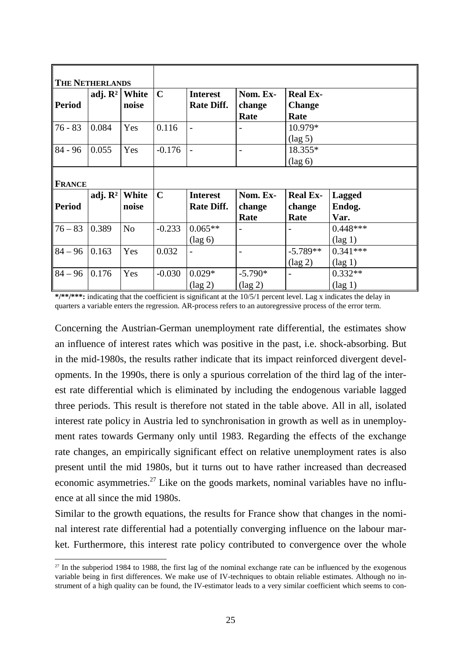| <b>THE NETHERLANDS</b><br><b>Period</b> | adj. $\mathbb{R}^2$ | White<br>noise | $\mathbf C$ | <b>Interest</b><br><b>Rate Diff.</b> | Nom. Ex-<br>change<br>Rate     | <b>Real Ex-</b><br><b>Change</b><br>Rate |                                 |
|-----------------------------------------|---------------------|----------------|-------------|--------------------------------------|--------------------------------|------------------------------------------|---------------------------------|
| $76 - 83$                               | 0.084               | Yes            | 0.116       |                                      |                                | 10.979*<br>$(\text{lag } 5)$             |                                 |
| $84 - 96$                               | 0.055               | Yes            | $-0.176$    |                                      | $\overline{\phantom{0}}$       | 18.355*<br>$(\text{lag } 6)$             |                                 |
| <b>FRANCE</b>                           |                     |                |             |                                      |                                |                                          |                                 |
| <b>Period</b>                           | adj. $\mathbb{R}^2$ | White<br>noise | $\mathbf C$ | <b>Interest</b><br><b>Rate Diff.</b> | Nom. Ex-<br>change<br>Rate     | <b>Real Ex-</b><br>change<br>Rate        | <b>Lagged</b><br>Endog.<br>Var. |
| $76 - 83$                               | 0.389               | N <sub>o</sub> | $-0.233$    | $0.065**$<br>$(\text{lag } 6)$       |                                |                                          | $0.448***$<br>$(\text{lag } 1)$ |
| $84 - 96$                               | 0.163               | Yes            | 0.032       | $\overline{\phantom{a}}$             | $\overline{\phantom{0}}$       | $-5.789**$<br>$(\text{lag } 2)$          | $0.341***$<br>$(\text{lag } 1)$ |
| $84 - 96$                               | 0.176               | Yes            | $-0.030$    | $0.029*$<br>$(\text{lag } 2)$        | $-5.790*$<br>$(\text{lag } 2)$ | $\overline{\phantom{0}}$                 | $0.332**$<br>$(\text{lag } 1)$  |

**\*/\*\*/\*\*\*:** indicating that the coefficient is significant at the 10/5/1 percent level. Lag x indicates the delay in quarters a variable enters the regression. AR-process refers to an autoregressive process of the error term.

Concerning the Austrian-German unemployment rate differential, the estimates show an influence of interest rates which was positive in the past, i.e. shock-absorbing. But in the mid-1980s, the results rather indicate that its impact reinforced divergent developments. In the 1990s, there is only a spurious correlation of the third lag of the interest rate differential which is eliminated by including the endogenous variable lagged three periods. This result is therefore not stated in the table above. All in all, isolated interest rate policy in Austria led to synchronisation in growth as well as in unemployment rates towards Germany only until 1983. Regarding the effects of the exchange rate changes, an empirically significant effect on relative unemployment rates is also present until the mid 1980s, but it turns out to have rather increased than decreased economic asymmetries.<sup>27</sup> Like on the goods markets, nominal variables have no influence at all since the mid 1980s.

Similar to the growth equations, the results for France show that changes in the nominal interest rate differential had a potentially converging influence on the labour market. Furthermore, this interest rate policy contributed to convergence over the whole

l

<sup>&</sup>lt;sup>27</sup> In the subperiod 1984 to 1988, the first lag of the nominal exchange rate can be influenced by the exogenous variable being in first differences. We make use of IV-techniques to obtain reliable estimates. Although no instrument of a high quality can be found, the IV-estimator leads to a very similar coefficient which seems to con-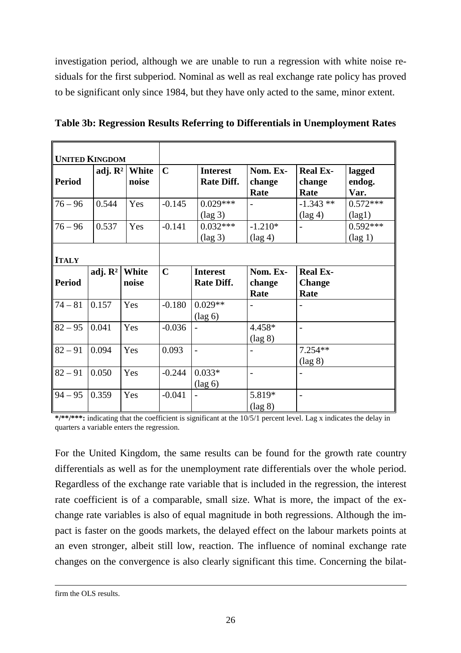investigation period, although we are unable to run a regression with white noise residuals for the first subperiod. Nominal as well as real exchange rate policy has proved to be significant only since 1984, but they have only acted to the same, minor extent.

|                               | <b>UNITED KINGDOM</b> |                       |             |                                      |                                |                                          |                                 |
|-------------------------------|-----------------------|-----------------------|-------------|--------------------------------------|--------------------------------|------------------------------------------|---------------------------------|
| Period                        | adj. $\mathbb{R}^2$   | White<br>noise        | $\mathbf C$ | <b>Interest</b><br><b>Rate Diff.</b> | Nom. Ex-<br>change<br>Rate     | <b>Real Ex-</b><br>change<br>Rate        | lagged<br>endog.<br>Var.        |
| $76 - 96$                     | 0.544                 | Yes                   | $-0.145$    | $0.029***$<br>$(\text{lag } 3)$      | $\blacksquare$                 | $-1.343**$<br>$(\text{lag } 4)$          | $0.572***$<br>$(\text{lag1})$   |
| $76 - 96$                     | 0.537                 | Yes                   | $-0.141$    | $0.032***$<br>$(\text{lag } 3)$      | $-1.210*$<br>$(\text{lag } 4)$ |                                          | $0.592***$<br>$(\text{lag } 1)$ |
| <b>ITALY</b><br><b>Period</b> | adj. $\mathbb{R}^2$   | <b>White</b><br>noise | $\mathbf C$ | <b>Interest</b><br><b>Rate Diff.</b> | Nom. Ex-<br>change<br>Rate     | <b>Real Ex-</b><br><b>Change</b><br>Rate |                                 |
| $74 - 81$                     | 0.157                 | Yes                   | $-0.180$    | $0.029**$<br>$(\text{lag } 6)$       | $\overline{\phantom{a}}$       |                                          |                                 |
| $82 - 95$                     | 0.041                 | Yes                   | $-0.036$    |                                      | 4.458*<br>$(\text{lag } 8)$    | $\overline{a}$                           |                                 |
| $82 - 91$                     | 0.094                 | Yes                   | 0.093       | $\overline{a}$                       | $\overline{\phantom{0}}$       | $7.254**$<br>$(\text{lag } 8)$           |                                 |
| $82 - 91$                     | 0.050                 | Yes                   | $-0.244$    | $0.033*$<br>$(\text{lag } 6)$        | $\overline{a}$                 |                                          |                                 |
| $94 - 95$                     | 0.359                 | Yes                   | $-0.041$    |                                      | 5.819*<br>$(\text{lag } 8)$    |                                          |                                 |

**Table 3b: Regression Results Referring to Differentials in Unemployment Rates**

**\*/\*\*/\*\*\*:** indicating that the coefficient is significant at the 10/5/1 percent level. Lag x indicates the delay in quarters a variable enters the regression.

For the United Kingdom, the same results can be found for the growth rate country differentials as well as for the unemployment rate differentials over the whole period. Regardless of the exchange rate variable that is included in the regression, the interest rate coefficient is of a comparable, small size. What is more, the impact of the exchange rate variables is also of equal magnitude in both regressions. Although the impact is faster on the goods markets, the delayed effect on the labour markets points at an even stronger, albeit still low, reaction. The influence of nominal exchange rate changes on the convergence is also clearly significant this time. Concerning the bilat-

-

firm the OLS results.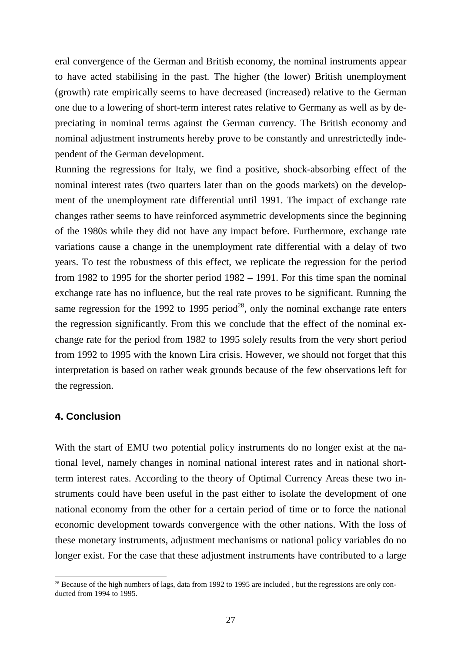eral convergence of the German and British economy, the nominal instruments appear to have acted stabilising in the past. The higher (the lower) British unemployment (growth) rate empirically seems to have decreased (increased) relative to the German one due to a lowering of short-term interest rates relative to Germany as well as by depreciating in nominal terms against the German currency. The British economy and nominal adjustment instruments hereby prove to be constantly and unrestrictedly independent of the German development.

Running the regressions for Italy, we find a positive, shock-absorbing effect of the nominal interest rates (two quarters later than on the goods markets) on the development of the unemployment rate differential until 1991. The impact of exchange rate changes rather seems to have reinforced asymmetric developments since the beginning of the 1980s while they did not have any impact before. Furthermore, exchange rate variations cause a change in the unemployment rate differential with a delay of two years. To test the robustness of this effect, we replicate the regression for the period from 1982 to 1995 for the shorter period 1982 – 1991. For this time span the nominal exchange rate has no influence, but the real rate proves to be significant. Running the same regression for the 1992 to 1995 period<sup>28</sup>, only the nominal exchange rate enters the regression significantly. From this we conclude that the effect of the nominal exchange rate for the period from 1982 to 1995 solely results from the very short period from 1992 to 1995 with the known Lira crisis. However, we should not forget that this interpretation is based on rather weak grounds because of the few observations left for the regression.

### **4. Conclusion**

l

With the start of EMU two potential policy instruments do no longer exist at the national level, namely changes in nominal national interest rates and in national shortterm interest rates. According to the theory of Optimal Currency Areas these two instruments could have been useful in the past either to isolate the development of one national economy from the other for a certain period of time or to force the national economic development towards convergence with the other nations. With the loss of these monetary instruments, adjustment mechanisms or national policy variables do no longer exist. For the case that these adjustment instruments have contributed to a large

<sup>&</sup>lt;sup>28</sup> Because of the high numbers of lags, data from 1992 to 1995 are included, but the regressions are only conducted from 1994 to 1995.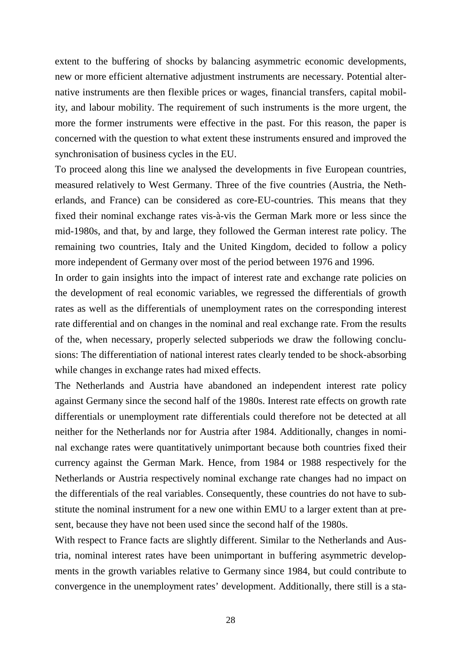extent to the buffering of shocks by balancing asymmetric economic developments, new or more efficient alternative adjustment instruments are necessary. Potential alternative instruments are then flexible prices or wages, financial transfers, capital mobility, and labour mobility. The requirement of such instruments is the more urgent, the more the former instruments were effective in the past. For this reason, the paper is concerned with the question to what extent these instruments ensured and improved the synchronisation of business cycles in the EU.

To proceed along this line we analysed the developments in five European countries, measured relatively to West Germany. Three of the five countries (Austria, the Netherlands, and France) can be considered as core-EU-countries. This means that they fixed their nominal exchange rates vis-à-vis the German Mark more or less since the mid-1980s, and that, by and large, they followed the German interest rate policy. The remaining two countries, Italy and the United Kingdom, decided to follow a policy more independent of Germany over most of the period between 1976 and 1996.

In order to gain insights into the impact of interest rate and exchange rate policies on the development of real economic variables, we regressed the differentials of growth rates as well as the differentials of unemployment rates on the corresponding interest rate differential and on changes in the nominal and real exchange rate. From the results of the, when necessary, properly selected subperiods we draw the following conclusions: The differentiation of national interest rates clearly tended to be shock-absorbing while changes in exchange rates had mixed effects.

The Netherlands and Austria have abandoned an independent interest rate policy against Germany since the second half of the 1980s. Interest rate effects on growth rate differentials or unemployment rate differentials could therefore not be detected at all neither for the Netherlands nor for Austria after 1984. Additionally, changes in nominal exchange rates were quantitatively unimportant because both countries fixed their currency against the German Mark. Hence, from 1984 or 1988 respectively for the Netherlands or Austria respectively nominal exchange rate changes had no impact on the differentials of the real variables. Consequently, these countries do not have to substitute the nominal instrument for a new one within EMU to a larger extent than at present, because they have not been used since the second half of the 1980s.

With respect to France facts are slightly different. Similar to the Netherlands and Austria, nominal interest rates have been unimportant in buffering asymmetric developments in the growth variables relative to Germany since 1984, but could contribute to convergence in the unemployment rates' development. Additionally, there still is a sta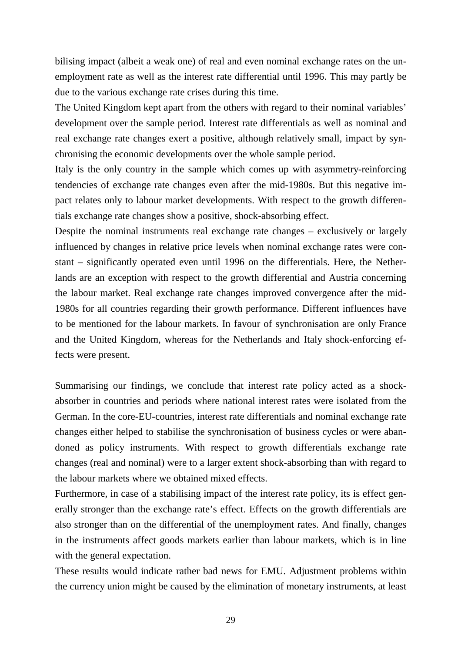bilising impact (albeit a weak one) of real and even nominal exchange rates on the unemployment rate as well as the interest rate differential until 1996. This may partly be due to the various exchange rate crises during this time.

The United Kingdom kept apart from the others with regard to their nominal variables' development over the sample period. Interest rate differentials as well as nominal and real exchange rate changes exert a positive, although relatively small, impact by synchronising the economic developments over the whole sample period.

Italy is the only country in the sample which comes up with asymmetry-reinforcing tendencies of exchange rate changes even after the mid-1980s. But this negative impact relates only to labour market developments. With respect to the growth differentials exchange rate changes show a positive, shock-absorbing effect.

Despite the nominal instruments real exchange rate changes – exclusively or largely influenced by changes in relative price levels when nominal exchange rates were constant – significantly operated even until 1996 on the differentials. Here, the Netherlands are an exception with respect to the growth differential and Austria concerning the labour market. Real exchange rate changes improved convergence after the mid-1980s for all countries regarding their growth performance. Different influences have to be mentioned for the labour markets. In favour of synchronisation are only France and the United Kingdom, whereas for the Netherlands and Italy shock-enforcing effects were present.

Summarising our findings, we conclude that interest rate policy acted as a shockabsorber in countries and periods where national interest rates were isolated from the German. In the core-EU-countries, interest rate differentials and nominal exchange rate changes either helped to stabilise the synchronisation of business cycles or were abandoned as policy instruments. With respect to growth differentials exchange rate changes (real and nominal) were to a larger extent shock-absorbing than with regard to the labour markets where we obtained mixed effects.

Furthermore, in case of a stabilising impact of the interest rate policy, its is effect generally stronger than the exchange rate's effect. Effects on the growth differentials are also stronger than on the differential of the unemployment rates. And finally, changes in the instruments affect goods markets earlier than labour markets, which is in line with the general expectation.

These results would indicate rather bad news for EMU. Adjustment problems within the currency union might be caused by the elimination of monetary instruments, at least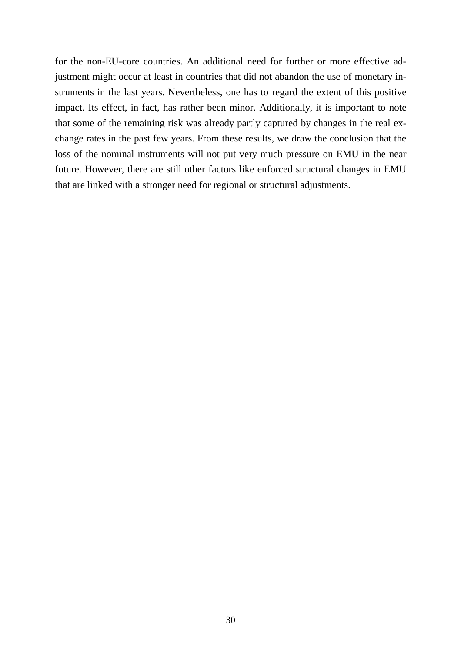for the non-EU-core countries. An additional need for further or more effective adjustment might occur at least in countries that did not abandon the use of monetary instruments in the last years. Nevertheless, one has to regard the extent of this positive impact. Its effect, in fact, has rather been minor. Additionally, it is important to note that some of the remaining risk was already partly captured by changes in the real exchange rates in the past few years. From these results, we draw the conclusion that the loss of the nominal instruments will not put very much pressure on EMU in the near future. However, there are still other factors like enforced structural changes in EMU that are linked with a stronger need for regional or structural adjustments.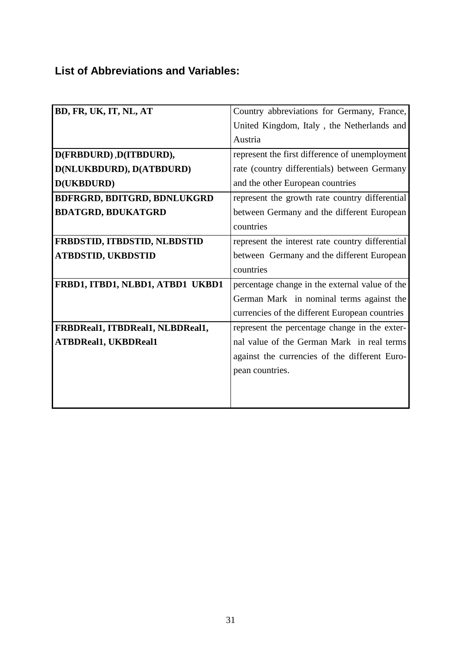# **List of Abbreviations and Variables:**

| BD, FR, UK, IT, NL, AT             | Country abbreviations for Germany, France,       |
|------------------------------------|--------------------------------------------------|
|                                    | United Kingdom, Italy, the Netherlands and       |
|                                    | Austria                                          |
| D(FRBDURD), D(ITBDURD),            | represent the first difference of unemployment   |
| D(NLUKBDURD), D(ATBDURD)           | rate (country differentials) between Germany     |
| D(UKBDURD)                         | and the other European countries                 |
| <b>BDFRGRD, BDITGRD, BDNLUKGRD</b> | represent the growth rate country differential   |
| <b>BDATGRD, BDUKATGRD</b>          | between Germany and the different European       |
|                                    | countries                                        |
| FRBDSTID, ITBDSTID, NLBDSTID       | represent the interest rate country differential |
| <b>ATBDSTID, UKBDSTID</b>          | between Germany and the different European       |
|                                    | countries                                        |
| FRBD1, ITBD1, NLBD1, ATBD1 UKBD1   | percentage change in the external value of the   |
|                                    | German Mark in nominal terms against the         |
|                                    | currencies of the different European countries   |
| FRBDReal1, ITBDReal1, NLBDReal1,   | represent the percentage change in the exter-    |
| <b>ATBDReal1, UKBDReal1</b>        | nal value of the German Mark in real terms       |
|                                    | against the currencies of the different Euro-    |
|                                    | pean countries.                                  |
|                                    |                                                  |
|                                    |                                                  |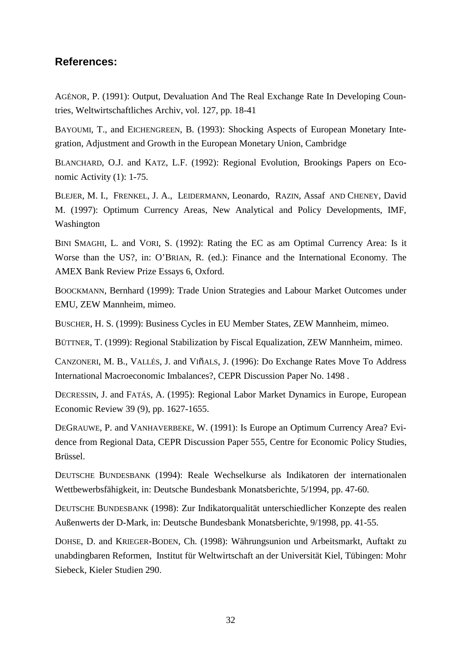## **References:**

AGÉNOR, P. (1991): Output, Devaluation And The Real Exchange Rate In Developing Countries, Weltwirtschaftliches Archiv, vol. 127, pp. 18-41

BAYOUMI, T., and EICHENGREEN, B. (1993): Shocking Aspects of European Monetary Integration, Adjustment and Growth in the European Monetary Union, Cambridge

BLANCHARD, O.J. and KATZ, L.F. (1992): Regional Evolution, Brookings Papers on Economic Activity (1): 1-75.

BLEJER, M. I., FRENKEL, J. A., LEIDERMANN, Leonardo, RAZIN, Assaf AND CHENEY, David M. (1997): Optimum Currency Areas, New Analytical and Policy Developments, IMF, Washington

BINI SMAGHI, L. and VORI, S. (1992): Rating the EC as am Optimal Currency Area: Is it Worse than the US?, in: O'BRIAN, R. (ed.): Finance and the International Economy. The AMEX Bank Review Prize Essays 6, Oxford.

BOOCKMANN, Bernhard (1999): Trade Union Strategies and Labour Market Outcomes under EMU, ZEW Mannheim, mimeo.

BUSCHER, H. S. (1999): Business Cycles in EU Member States, ZEW Mannheim, mimeo.

BÜTTNER, T. (1999): Regional Stabilization by Fiscal Equalization, ZEW Mannheim, mimeo.

CANZONERI, M. B., VALLÉS, J. and VIñALS, J. (1996): Do Exchange Rates Move To Address International Macroeconomic Imbalances?, CEPR Discussion Paper No. 1498 .

DECRESSIN, J. and FATÁS, A. (1995): Regional Labor Market Dynamics in Europe, European Economic Review 39 (9), pp. 1627-1655.

DEGRAUWE, P. and VANHAVERBEKE, W. (1991): Is Europe an Optimum Currency Area? Evidence from Regional Data, CEPR Discussion Paper 555, Centre for Economic Policy Studies, Brüssel.

DEUTSCHE BUNDESBANK (1994): Reale Wechselkurse als Indikatoren der internationalen Wettbewerbsfähigkeit, in: Deutsche Bundesbank Monatsberichte, 5/1994, pp. 47-60.

DEUTSCHE BUNDESBANK (1998): Zur Indikatorqualität unterschiedlicher Konzepte des realen Außenwerts der D-Mark, in: Deutsche Bundesbank Monatsberichte, 9/1998, pp. 41-55.

DOHSE, D. and KRIEGER-BODEN, Ch. (1998): Währungsunion und Arbeitsmarkt, Auftakt zu unabdingbaren Reformen, Institut für Weltwirtschaft an der Universität Kiel, Tübingen: Mohr Siebeck, Kieler Studien 290.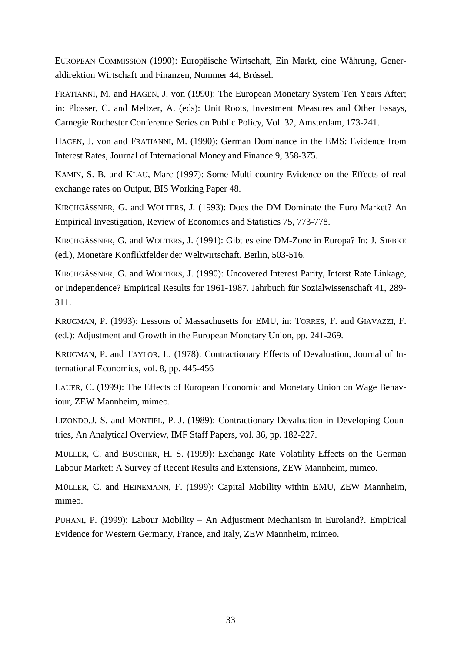EUROPEAN COMMISSION (1990): Europäische Wirtschaft, Ein Markt, eine Währung, Generaldirektion Wirtschaft und Finanzen, Nummer 44, Brüssel.

FRATIANNI, M. and HAGEN, J. von (1990): The European Monetary System Ten Years After; in: Plosser, C. and Meltzer, A. (eds): Unit Roots, Investment Measures and Other Essays, Carnegie Rochester Conference Series on Public Policy, Vol. 32, Amsterdam, 173-241.

HAGEN, J. von and FRATIANNI, M. (1990): German Dominance in the EMS: Evidence from Interest Rates, Journal of International Money and Finance 9, 358-375.

KAMIN, S. B. and KLAU, Marc (1997): Some Multi-country Evidence on the Effects of real exchange rates on Output, BIS Working Paper 48.

KIRCHGÄSSNER, G. and WOLTERS, J. (1993): Does the DM Dominate the Euro Market? An Empirical Investigation, Review of Economics and Statistics 75, 773-778.

KIRCHGÄSSNER, G. and WOLTERS, J. (1991): Gibt es eine DM-Zone in Europa? In: J. SIEBKE (ed.), Monetäre Konfliktfelder der Weltwirtschaft. Berlin, 503-516.

KIRCHGÄSSNER, G. and WOLTERS, J. (1990): Uncovered Interest Parity, Interst Rate Linkage, or Independence? Empirical Results for 1961-1987. Jahrbuch für Sozialwissenschaft 41, 289- 311.

KRUGMAN, P. (1993): Lessons of Massachusetts for EMU, in: TORRES, F. and GIAVAZZI, F. (ed.): Adjustment and Growth in the European Monetary Union, pp. 241-269.

KRUGMAN, P. and TAYLOR, L. (1978): Contractionary Effects of Devaluation, Journal of International Economics, vol. 8, pp. 445-456

LAUER, C. (1999): The Effects of European Economic and Monetary Union on Wage Behaviour, ZEW Mannheim, mimeo.

LIZONDO,J. S. and MONTIEL, P. J. (1989): Contractionary Devaluation in Developing Countries, An Analytical Overview, IMF Staff Papers, vol. 36, pp. 182-227.

MÜLLER, C. and BUSCHER, H. S. (1999): Exchange Rate Volatility Effects on the German Labour Market: A Survey of Recent Results and Extensions, ZEW Mannheim, mimeo.

MÜLLER, C. and HEINEMANN, F. (1999): Capital Mobility within EMU, ZEW Mannheim, mimeo.

PUHANI, P. (1999): Labour Mobility – An Adjustment Mechanism in Euroland?. Empirical Evidence for Western Germany, France, and Italy, ZEW Mannheim, mimeo.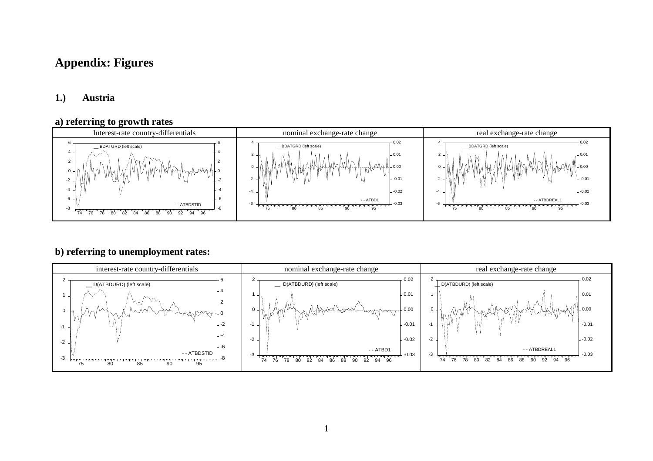# **Appendix: Figures**

## **1.) Austria**

#### **a) referring to growth rates**



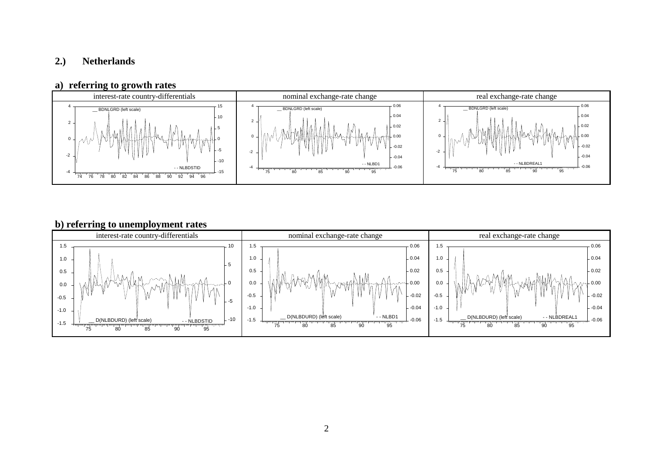## **2.) Netherlands**

### **a) referring to growth rates**



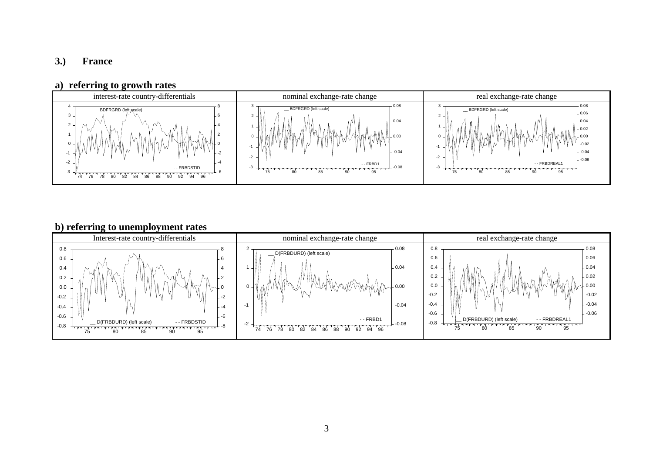## **3.) France**

#### **a) referring to growth rates**



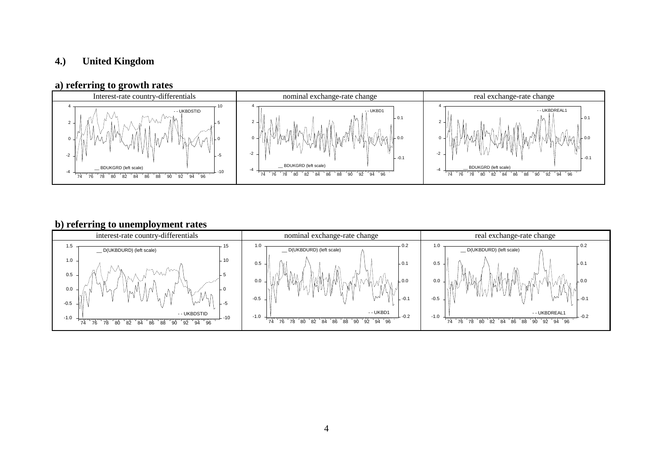## **4.) United Kingdom**

### **a) referring to growth rates**